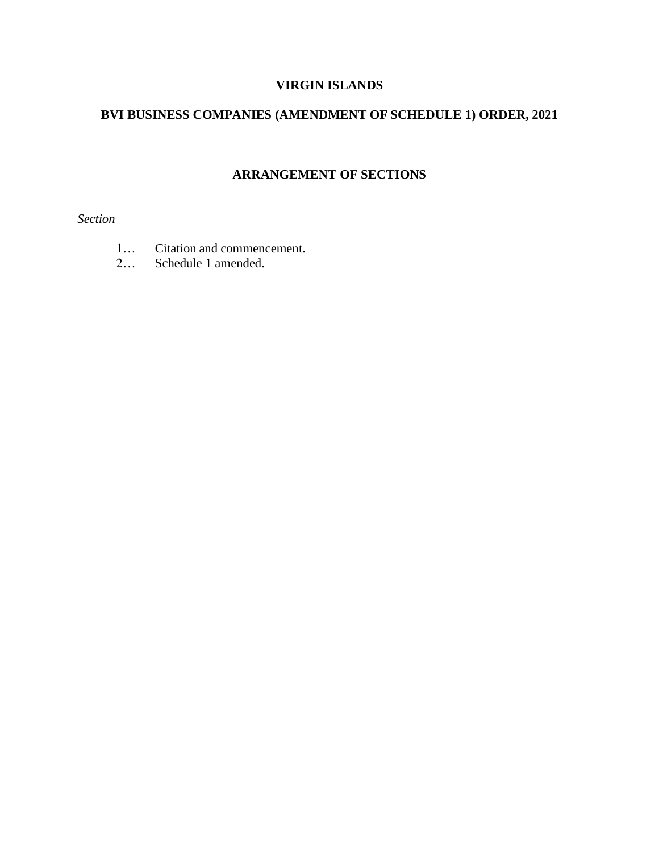# **VIRGIN ISLANDS**

## **BVI BUSINESS COMPANIES (AMENDMENT OF SCHEDULE 1) ORDER, 2021**

## **ARRANGEMENT OF SECTIONS**

*Section*

- 1… Citation and commencement.
- 2… Schedule 1 amended.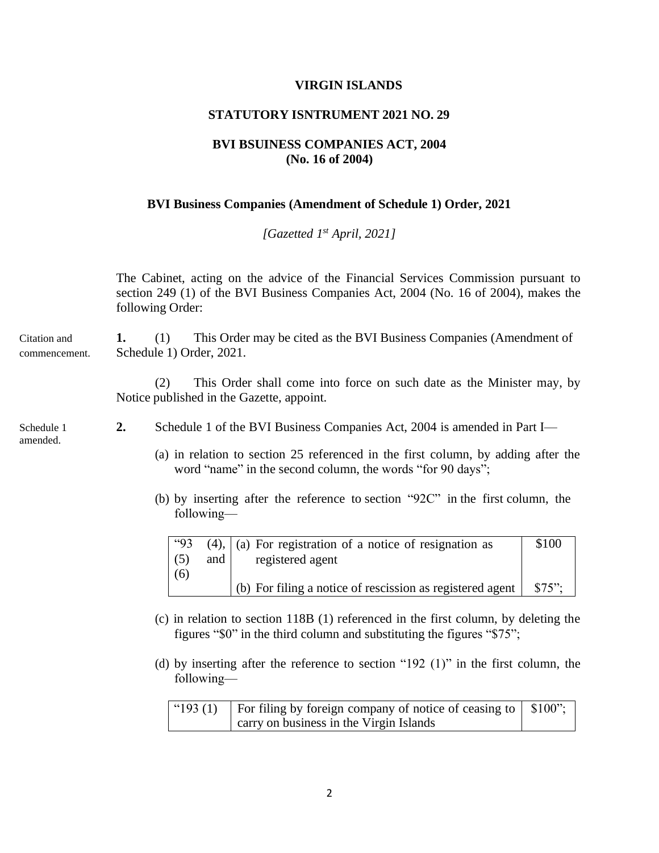#### **VIRGIN ISLANDS**

### **STATUTORY ISNTRUMENT 2021 NO. 29**

### **BVI BSUINESS COMPANIES ACT, 2004 (No. 16 of 2004)**

#### **BVI Business Companies (Amendment of Schedule 1) Order, 2021**

*[Gazetted 1 st April, 2021]*

The Cabinet, acting on the advice of the Financial Services Commission pursuant to section 249 (1) of the BVI Business Companies Act, 2004 (No. 16 of 2004), makes the following Order: Citation and **1.** (1) This Order may be cited as the BVI Business Companies (Amendment of commencement. Schedule 1) Order, 2021. (2) This Order shall come into force on such date as the Minister may, by

Notice published in the Gazette, appoint.

amended.

- Schedule 1 **2.** Schedule 1 of the BVI Business Companies Act, 2004 is amended in Part I—
	- (a) in relation to section 25 referenced in the first column, by adding after the word "name" in the second column, the words "for 90 days";
	- (b) by inserting after the reference to section "92C" in the first column, the following—

| <b>"93</b> |             | $(4)$ , $\vert$ (a) For registration of a notice of resignation as | \$100    |
|------------|-------------|--------------------------------------------------------------------|----------|
| (5)        | and $\vert$ | registered agent                                                   |          |
| (6)        |             |                                                                    |          |
|            |             | $\vert$ (b) For filing a notice of rescission as registered agent  | $$75$ ": |

- (c) in relation to section 118B (1) referenced in the first column, by deleting the figures "\$0" in the third column and substituting the figures "\$75";
- (d) by inserting after the reference to section "192 (1)" in the first column, the following—

| "193 (1)   For filing by foreign company of notice of ceasing to $\vert$ \$100"; |  |
|----------------------------------------------------------------------------------|--|
| carry on business in the Virgin Islands                                          |  |